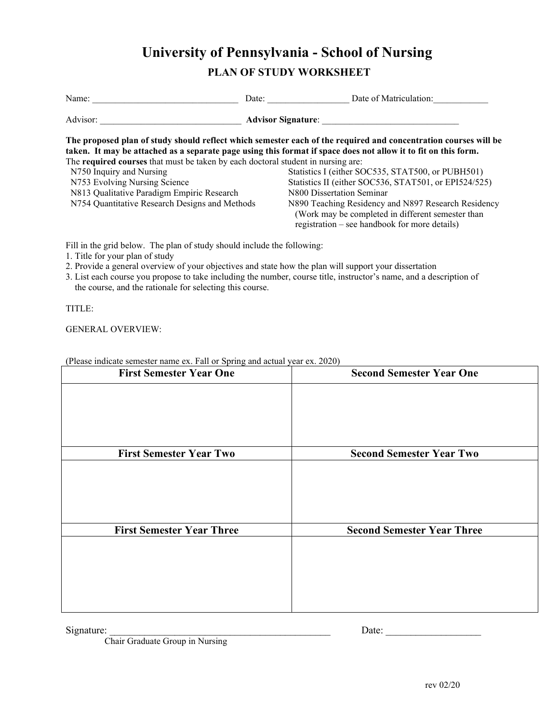## **University of Pennsylvania - School of Nursing**

## **PLAN OF STUDY WORKSHEET**

| Name:                                                                                                                                                                                                                                                                                                                                                                  | Date:                     | Date of Matriculation:                                                                                                                                                                                                                                                                                                                                                                                                  |  |
|------------------------------------------------------------------------------------------------------------------------------------------------------------------------------------------------------------------------------------------------------------------------------------------------------------------------------------------------------------------------|---------------------------|-------------------------------------------------------------------------------------------------------------------------------------------------------------------------------------------------------------------------------------------------------------------------------------------------------------------------------------------------------------------------------------------------------------------------|--|
| Advisor:                                                                                                                                                                                                                                                                                                                                                               | <b>Advisor Signature:</b> |                                                                                                                                                                                                                                                                                                                                                                                                                         |  |
| taken. It may be attached as a separate page using this format if space does not allow it to fit on this form.<br>The <b>required courses</b> that must be taken by each doctoral student in nursing are:<br>N750 Inquiry and Nursing<br>N753 Evolving Nursing Science<br>N813 Qualitative Paradigm Empiric Research<br>N754 Quantitative Research Designs and Methods |                           | The proposed plan of study should reflect which semester each of the required and concentration courses will be<br>Statistics I (either SOC535, STAT500, or PUBH501)<br>Statistics II (either SOC536, STAT501, or EPI524/525)<br>N800 Dissertation Seminar<br>N890 Teaching Residency and N897 Research Residency<br>(Work may be completed in different semester than<br>registration – see handbook for more details) |  |

Fill in the grid below. The plan of study should include the following:

- 1. Title for your plan of study
- 2. Provide a general overview of your objectives and state how the plan will support your dissertation
- 3. List each course you propose to take including the number, course title, instructor's name, and a description of the course, and the rationale for selecting this course.

TITLE:

GENERAL OVERVIEW:

| <b>First Semester Year One</b>   | <b>Second Semester Year One</b>   |
|----------------------------------|-----------------------------------|
|                                  |                                   |
|                                  |                                   |
|                                  |                                   |
| <b>First Semester Year Two</b>   | <b>Second Semester Year Two</b>   |
|                                  |                                   |
|                                  |                                   |
|                                  |                                   |
| <b>First Semester Year Three</b> | <b>Second Semester Year Three</b> |
|                                  |                                   |
|                                  |                                   |
|                                  |                                   |
|                                  |                                   |

(Please indicate semester name ex. Fall or Spring and actual year ex. 2020)

Signature: \_\_\_\_\_\_\_\_\_\_\_\_\_\_\_\_\_\_\_\_\_\_\_\_\_\_\_\_\_\_\_\_\_\_\_\_\_\_\_\_\_\_\_\_ Date: \_\_\_\_\_\_\_\_\_\_\_\_\_\_\_\_\_\_\_

Chair Graduate Group in Nursing